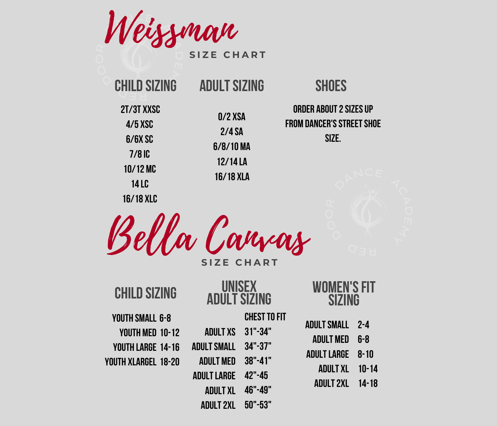Weissman

**I** SIZE CHART

| <b>CHILD SIZING</b>                                                                | <b>ADULT SIZING</b>                                                    | <b>SHOES</b>                                                        |
|------------------------------------------------------------------------------------|------------------------------------------------------------------------|---------------------------------------------------------------------|
| 2T/3T XXSC<br>4/5 XSC<br>$6/6X$ SC<br>$7/8$ IC<br>$10/12$ MC<br>14 LC<br>16/18 XLC | $0/2$ XSA<br>$2/4$ SA<br>$6/8/10$ MA<br>$12/14$ LA<br><b>16/18 XLA</b> | ORDER ABOUT 2 SIZES UP<br><b>FROM DANCER'S STREET SHOE</b><br>SIZE. |

Bella Canvas

**Youth Med Youth Large YOUTH** 

 $SIZE CHART$ 

| <b>CHILD SIZING</b>                                                            | UNISEX<br><b>ADULT SIZING</b>                                                                                          |                                                                                                  | Women's Fit<br><b>SIZING</b>                                                                     |                                             |
|--------------------------------------------------------------------------------|------------------------------------------------------------------------------------------------------------------------|--------------------------------------------------------------------------------------------------|--------------------------------------------------------------------------------------------------|---------------------------------------------|
| YOUTH SMALL 6-8<br>YOUTH MED 10-12<br>YOUTH LARGE 14-16<br>OUTH XLARGEL  18-20 | <b>ADULT XS</b><br><b>ADULT SMALL</b><br><b>ADULT MED</b><br><b>ADULT LARGE</b><br><b>ADULT XL</b><br><b>ADULT 2XL</b> | CHEST TO FIT<br>$31 - 34$ "<br>$34" - 37"$<br>$38" - 41"$<br>$42 - 45$<br>46"-49"<br>$50" - 53"$ | <b>ADULT SMALL 2-4</b><br><b>ADULT MED</b><br><b>ADULT LARGE</b><br>ADULT XL<br><b>ADULT 2XL</b> | $6-8$<br>$8 - 10$<br>$10 - 14$<br>$14 - 18$ |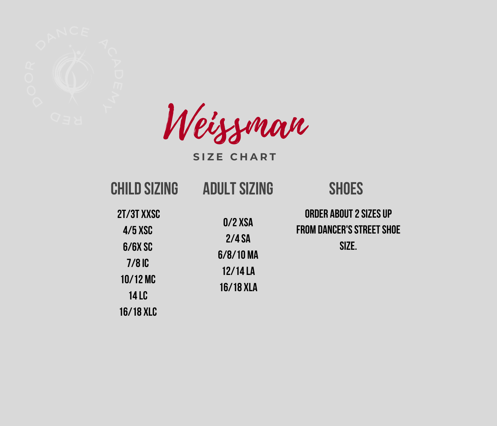

Weissman

## $S$  **IZE** CHART

| <b>CHILD SIZING</b>                                                                         | <b>ADULT SIZING</b>                                                    | <b>SHOES</b>                                                               |
|---------------------------------------------------------------------------------------------|------------------------------------------------------------------------|----------------------------------------------------------------------------|
| 2T/3T XXSC<br>$4/5$ XSC<br>$6/6X$ SC<br>$7/8$ IC<br>$10/12$ MC<br>14 LC<br><b>16/18 XLC</b> | $0/2$ XSA<br>$2/4$ SA<br>$6/8/10$ MA<br>$12/14$ LA<br><b>16/18 XLA</b> | <b>ORDER ABOUT 2 SIZES UP</b><br><b>FROM DANCER'S STREET SHOE</b><br>SIZE. |